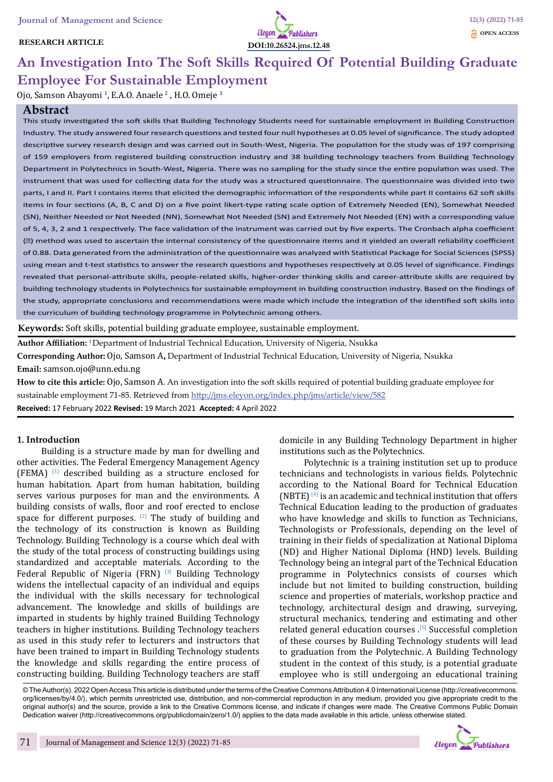### **RESEARCH ARTICLE**



# **An Investigation Into The Soft Skills Required Of Potential Building Graduate Employee For Sustainable Employment**

0jo, Samson Abayomi <sup>1</sup>, E.A.O. Anaele <sup>2</sup> , H.O. Omeje <sup>3</sup>

## **Abstract**

This study investigated the soft skills that Building Technology Students need for sustainable employment in Building Construction Industry. The study answered four research questions and tested four null hypotheses at 0.05 level of significance. The study adopted descriptive survey research design and was carried out in South-West, Nigeria. The population for the study was of 197 comprising of 159 employers from registered building construction industry and 38 building technology teachers from Building Technology Department in Polytechnics in South-West, Nigeria. There was no sampling for the study since the entire population was used. The instrument that was used for collecting data for the study was a structured questionnaire. The questionnaire was divided into two parts, I and II. Part I contains items that elicited the demographic information of the respondents while part II contains 62 soft skills items in four sections (A, B, C and D) on a five point likert-type rating scale option of Extremely Needed (EN), Somewhat Needed (SN), Neither Needed or Not Needed (NN), Somewhat Not Needed (SN) and Extremely Not Needed (EN) with a corresponding value of 5, 4, 3, 2 and 1 respectively. The face validation of the instrument was carried out by five experts. The Cronbach alpha coefficient (∝) method was used to ascertain the internal consistency of the questionnaire items and it yielded an overall reliability coefficient of 0.88. Data generated from the administration of the questionnaire was analyzed with Statistical Package for Social Sciences (SPSS) using mean and t-test statistics to answer the research questions and hypotheses respectively at 0.05 level of significance. Findings revealed that personal-attribute skills, people-related skills, higher-order thinking skills and career-attribute skills are required by building technology students in Polytechnics for sustainable employment in building construction industry. Based on the findings of the study, appropriate conclusions and recommendations were made which include the integration of the identified soft skills into the curriculum of building technology programme in Polytechnic among others.

**Keywords:** Soft skills, potential building graduate employee, sustainable employment.

**Author Affiliation:** 1 Department of Industrial Technical Education, University of Nigeria, Nsukka

**Corresponding Author:** Ojo, Samson A**,** Department of Industrial Technical Education, University of Nigeria, Nsukka **Email:** samson.ojo@unn.edu.ng

**How to cite this article:** Ojo, Samson A. An investigation into the soft skills required of potential building graduate employee for sustainable employment 71-85. Retrieved from http://jms.eleyon.org/index.php/jms/article/view/582 **Received:** 17 February 2022 **Revised:** 19 March 2021 **Accepted:** 4 April 2022

#### **1. Introduction**

Building is a structure made by man for dwelling and other activities. The Federal Emergency Management Agency  $(FEMA)$  [1] described building as a structure enclosed for human habitation. Apart from human habitation, building serves various purposes for man and the environments. A building consists of walls, floor and roof erected to enclose space for different purposes.  $[2]$  The study of building and the technology of its construction is known as Building Technology. Building Technology is a course which deal with the study of the total process of constructing buildings using standardized and acceptable materials. According to the Federal Republic of Nigeria (FRN) <sup>[3]</sup> Building Technology widens the intellectual capacity of an individual and equips the individual with the skills necessary for technological advancement. The knowledge and skills of buildings are imparted in students by highly trained Building Technology teachers in higher institutions. Building Technology teachers as used in this study refer to lecturers and instructors that have been trained to impart in Building Technology students the knowledge and skills regarding the entire process of constructing building. Building Technology teachers are staff domicile in any Building Technology Department in higher institutions such as the Polytechnics.

Polytechnic is a training institution set up to produce technicians and technologists in various fields. Polytechnic according to the National Board for Technical Education (NBTE)  $[4]$  is an academic and technical institution that offers Technical Education leading to the production of graduates who have knowledge and skills to function as Technicians, Technologists or Professionals, depending on the level of training in their fields of specialization at National Diploma (ND) and Higher National Diploma (HND) levels. Building Technology being an integral part of the Technical Education programme in Polytechnics consists of courses which include but not limited to building construction, building science and properties of materials, workshop practice and technology, architectural design and drawing, surveying, structural mechanics, tendering and estimating and other related general education courses .[5] Successful completion of these courses by Building Technology students will lead to graduation from the Polytechnic. A Building Technology student in the context of this study, is a potential graduate employee who is still undergoing an educational training

© The Author(s). 2022 Open Access This article is distributed under the terms of the Creative Commons Attribution 4.0 International License (http://creativecommons. org/licenses/by/4.0/), which permits unrestricted use, distribution, and non-commercial reproduction in any medium, provided you give appropriate credit to the original author(s) and the source, provide a link to the Creative Commons license, and indicate if changes were made. The Creative Commons Public Domain Dedication waiver (http://creativecommons.org/publicdomain/zero/1.0/) applies to the data made available in this article, unless otherwise stated.

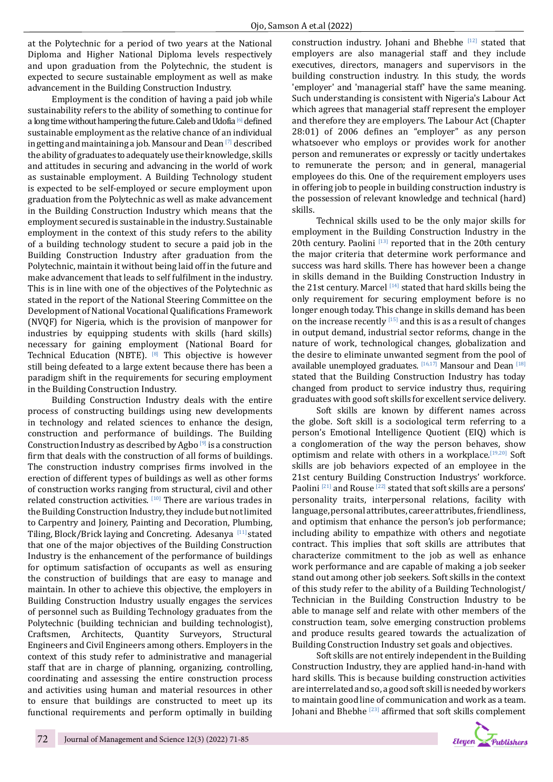at the Polytechnic for a period of two years at the National Diploma and Higher National Diploma levels respectively and upon graduation from the Polytechnic, the student is expected to secure sustainable employment as well as make advancement in the Building Construction Industry.

Employment is the condition of having a paid job while sustainability refers to the ability of something to continue for a long time without hampering the future. Caleb and Udofia [6] defined sustainable employment as the relative chance of an individual in getting and maintaining a job. Mansour and Dean  $[7]$  described the ability of graduates to adequately use their knowledge, skills and attitudes in securing and advancing in the world of work as sustainable employment. A Building Technology student is expected to be self-employed or secure employment upon graduation from the Polytechnic as well as make advancement in the Building Construction Industry which means that the employment secured is sustainable in the industry. Sustainable employment in the context of this study refers to the ability of a building technology student to secure a paid job in the Building Construction Industry after graduation from the Polytechnic, maintain it without being laid off in the future and make advancement that leads to self fulfilment in the industry. This is in line with one of the objectives of the Polytechnic as stated in the report of the National Steering Committee on the Development of National Vocational Qualifications Framework (NVQF) for Nigeria, which is the provision of manpower for industries by equipping students with skills (hard skills) necessary for gaining employment (National Board for Technical Education (NBTE). <sup>[8]</sup> This objective is however still being defeated to a large extent because there has been a paradigm shift in the requirements for securing employment in the Building Construction Industry.

Building Construction Industry deals with the entire process of constructing buildings using new developments in technology and related sciences to enhance the design, construction and performance of buildings. The Building Construction Industry as described by Agbo  $[9]$  is a construction firm that deals with the construction of all forms of buildings. The construction industry comprises firms involved in the erection of different types of buildings as well as other forms of construction works ranging from structural, civil and other related construction activities. [10] There are various trades in the Building Construction Industry, they include but not limited to Carpentry and Joinery, Painting and Decoration, Plumbing, Tiling, Block/Brick laying and Concreting. Adesanya [11] stated that one of the major objectives of the Building Construction Industry is the enhancement of the performance of buildings for optimum satisfaction of occupants as well as ensuring the construction of buildings that are easy to manage and maintain. In other to achieve this objective, the employers in Building Construction Industry usually engages the services of personnel such as Building Technology graduates from the Polytechnic (building technician and building technologist), Craftsmen, Architects, Quantity Surveyors, Structural Engineers and Civil Engineers among others. Employers in the context of this study refer to administrative and managerial staff that are in charge of planning, organizing, controlling, coordinating and assessing the entire construction process and activities using human and material resources in other to ensure that buildings are constructed to meet up its functional requirements and perform optimally in building construction industry. Johani and Bhebhe [12] stated that employers are also managerial staff and they include executives, directors, managers and supervisors in the building construction industry. In this study, the words 'employer' and 'managerial staff' have the same meaning. Such understanding is consistent with Nigeria's Labour Act which agrees that managerial staff represent the employer and therefore they are employers. The Labour Act (Chapter 28:01) of 2006 defines an "employer" as any person whatsoever who employs or provides work for another person and remunerates or expressly or tacitly undertakes to remunerate the person; and in general, managerial employees do this. One of the requirement employers uses in offering job to people in building construction industry is the possession of relevant knowledge and technical (hard) skills.

Technical skills used to be the only major skills for employment in the Building Construction Industry in the 20th century. Paolini  $[13]$  reported that in the 20th century the major criteria that determine work performance and success was hard skills. There has however been a change in skills demand in the Building Construction Industry in the 21st century. Marcel  $[14]$  stated that hard skills being the only requirement for securing employment before is no longer enough today. This change in skills demand has been on the increase recently [15] and this is as a result of changes in output demand, industrial sector reforms, change in the nature of work, technological changes, globalization and the desire to eliminate unwanted segment from the pool of available unemployed graduates. [16,17] Mansour and Dean [18] stated that the Building Construction Industry has today changed from product to service industry thus, requiring graduates with good soft skills for excellent service delivery.

Soft skills are known by different names across the globe. Soft skill is a sociological term referring to a person's Emotional Intelligence Quotient (EIQ) which is a conglomeration of the way the person behaves, show optimism and relate with others in a workplace.[19,20] Soft skills are job behaviors expected of an employee in the 21st century Building Construction Industrys' workforce. Paolini<sup>[21]</sup> and Rouse<sup>[22]</sup> stated that soft skills are a persons' personality traits, interpersonal relations, facility with language, personal attributes, career attributes, friendliness, and optimism that enhance the person's job performance; including ability to empathize with others and negotiate contract. This implies that soft skills are attributes that characterize commitment to the job as well as enhance work performance and are capable of making a job seeker stand out among other job seekers. Soft skills in the context of this study refer to the ability of a Building Technologist/ Technician in the Building Construction Industry to be able to manage self and relate with other members of the construction team, solve emerging construction problems and produce results geared towards the actualization of Building Construction Industry set goals and objectives.

Soft skills are not entirely independent in the Building Construction Industry, they are applied hand-in-hand with hard skills. This is because building construction activities are interrelated and so, a good soft skill is needed by workers to maintain good line of communication and work as a team. Johani and Bhebhe [23] affirmed that soft skills complement

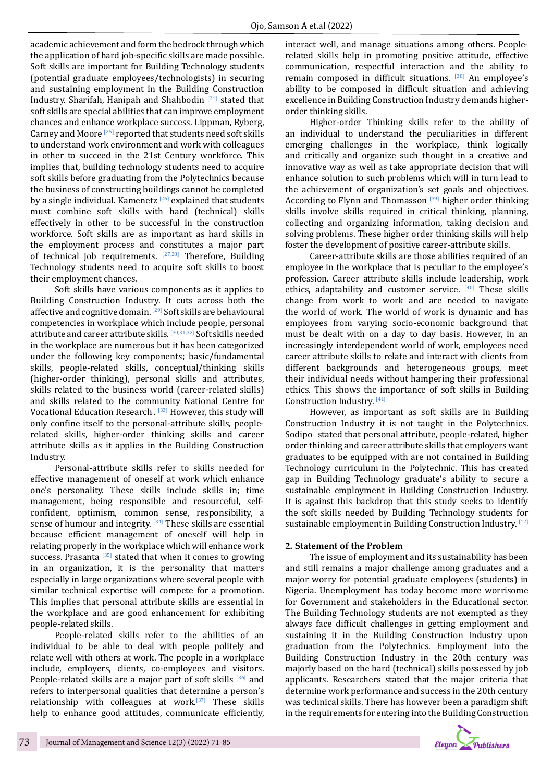academic achievement and form the bedrock through which the application of hard job-specific skills are made possible. Soft skills are important for Building Technology students (potential graduate employees/technologists) in securing and sustaining employment in the Building Construction Industry. Sharifah, Hanipah and Shahbodin [24] stated that soft skills are special abilities that can improve employment chances and enhance workplace success. Lippman, Ryberg, Carney and Moore [25] reported that students need soft skills to understand work environment and work with colleagues in other to succeed in the 21st Century workforce. This implies that, building technology students need to acquire soft skills before graduating from the Polytechnics because the business of constructing buildings cannot be completed by a single individual. Kamenetz  $^{[26]}$  explained that students must combine soft skills with hard (technical) skills effectively in other to be successful in the construction workforce. Soft skills are as important as hard skills in the employment process and constitutes a major part of technical job requirements.  $[27,28]$  Therefore, Building Technology students need to acquire soft skills to boost their employment chances.

Soft skills have various components as it applies to Building Construction Industry. It cuts across both the affective and cognitive domain. [29] Soft skills are behavioural competencies in workplace which include people, personal attribute and career attribute skills. [30,31,32] Soft skills needed in the workplace are numerous but it has been categorized under the following key components; basic/fundamental skills, people-related skills, conceptual/thinking skills (higher-order thinking), personal skills and attributes, skills related to the business world (career-related skills) and skills related to the community National Centre for Vocational Education Research . [33] However, this study will only confine itself to the personal-attribute skills, peoplerelated skills, higher-order thinking skills and career attribute skills as it applies in the Building Construction Industry.

Personal-attribute skills refer to skills needed for effective management of oneself at work which enhance one's personality. These skills include skills in; time management, being responsible and resourceful, selfconfident, optimism, common sense, responsibility, a sense of humour and integrity. [34] These skills are essential because efficient management of oneself will help in relating properly in the workplace which will enhance work success. Prasanta  $[35]$  stated that when it comes to growing in an organization, it is the personality that matters especially in large organizations where several people with similar technical expertise will compete for a promotion. This implies that personal attribute skills are essential in the workplace and are good enhancement for exhibiting people-related skills.

People-related skills refer to the abilities of an individual to be able to deal with people politely and relate well with others at work. The people in a workplace include, employers, clients, co-employees and visitors. People-related skills are a major part of soft skills  $[36]$  and refers to interpersonal qualities that determine a person's relationship with colleagues at work.[37] These skills help to enhance good attitudes, communicate efficiently, interact well, and manage situations among others. Peoplerelated skills help in promoting positive attitude, effective communication, respectful interaction and the ability to remain composed in difficult situations. [38] An employee's ability to be composed in difficult situation and achieving excellence in Building Construction Industry demands higherorder thinking skills.

Higher-order Thinking skills refer to the ability of an individual to understand the peculiarities in different emerging challenges in the workplace, think logically and critically and organize such thought in a creative and innovative way as well as take appropriate decision that will enhance solution to such problems which will in turn lead to the achievement of organization's set goals and objectives. According to Flynn and Thomasson  $[39]$  higher order thinking skills involve skills required in critical thinking, planning, collecting and organizing information, taking decision and solving problems. These higher order thinking skills will help foster the development of positive career-attribute skills.

Career-attribute skills are those abilities required of an employee in the workplace that is peculiar to the employee's profession. Career attribute skills include leadership, work ethics, adaptability and customer service. [40] These skills change from work to work and are needed to navigate the world of work. The world of work is dynamic and has employees from varying socio-economic background that must be dealt with on a day to day basis. However, in an increasingly interdependent world of work, employees need career attribute skills to relate and interact with clients from different backgrounds and heterogeneous groups, meet their individual needs without hampering their professional ethics. This shows the importance of soft skills in Building Construction Industry. [41]

However, as important as soft skills are in Building Construction Industry it is not taught in the Polytechnics. Sodipo stated that personal attribute, people-related, higher order thinking and career attribute skills that employers want graduates to be equipped with are not contained in Building Technology curriculum in the Polytechnic. This has created gap in Building Technology graduate's ability to secure a sustainable employment in Building Construction Industry. It is against this backdrop that this study seeks to identify the soft skills needed by Building Technology students for sustainable employment in Building Construction Industry. [42]

# **2. Statement of the Problem**

The issue of employment and its sustainability has been and still remains a major challenge among graduates and a major worry for potential graduate employees (students) in Nigeria. Unemployment has today become more worrisome for Government and stakeholders in the Educational sector. The Building Technology students are not exempted as they always face difficult challenges in getting employment and sustaining it in the Building Construction Industry upon graduation from the Polytechnics. Employment into the Building Construction Industry in the 20th century was majorly based on the hard (technical) skills possessed by job applicants. Researchers stated that the major criteria that determine work performance and success in the 20th century was technical skills. There has however been a paradigm shift in the requirements for entering into the Building Construction

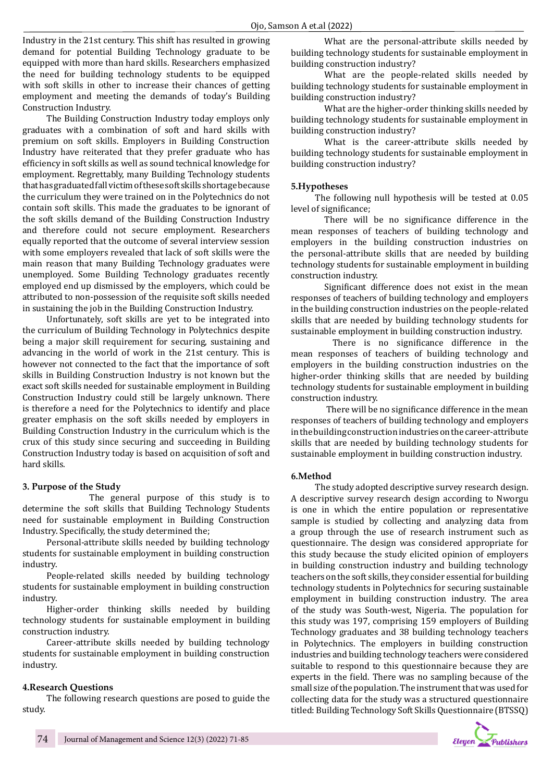Industry in the 21st century. This shift has resulted in growing demand for potential Building Technology graduate to be equipped with more than hard skills. Researchers emphasized the need for building technology students to be equipped with soft skills in other to increase their chances of getting employment and meeting the demands of today's Building Construction Industry.

The Building Construction Industry today employs only graduates with a combination of soft and hard skills with premium on soft skills. Employers in Building Construction Industry have reiterated that they prefer graduate who has efficiency in soft skills as well as sound technical knowledge for employment. Regrettably, many Building Technology students that has graduated fall victim of these soft skills shortage because the curriculum they were trained on in the Polytechnics do not contain soft skills. This made the graduates to be ignorant of the soft skills demand of the Building Construction Industry and therefore could not secure employment. Researchers equally reported that the outcome of several interview session with some employers revealed that lack of soft skills were the main reason that many Building Technology graduates were unemployed. Some Building Technology graduates recently employed end up dismissed by the employers, which could be attributed to non-possession of the requisite soft skills needed in sustaining the job in the Building Construction Industry.

Unfortunately, soft skills are yet to be integrated into the curriculum of Building Technology in Polytechnics despite being a major skill requirement for securing, sustaining and advancing in the world of work in the 21st century. This is however not connected to the fact that the importance of soft skills in Building Construction Industry is not known but the exact soft skills needed for sustainable employment in Building Construction Industry could still be largely unknown. There is therefore a need for the Polytechnics to identify and place greater emphasis on the soft skills needed by employers in Building Construction Industry in the curriculum which is the crux of this study since securing and succeeding in Building Construction Industry today is based on acquisition of soft and hard skills.

# **3. Purpose of the Study**

 The general purpose of this study is to determine the soft skills that Building Technology Students need for sustainable employment in Building Construction Industry. Specifically, the study determined the;

Personal-attribute skills needed by building technology students for sustainable employment in building construction industry.

People-related skills needed by building technology students for sustainable employment in building construction industry.

Higher-order thinking skills needed by building technology students for sustainable employment in building construction industry.

Career-attribute skills needed by building technology students for sustainable employment in building construction industry.

#### **4.Research Questions**

The following research questions are posed to guide the study.

What are the personal-attribute skills needed by building technology students for sustainable employment in building construction industry?

What are the people-related skills needed by building technology students for sustainable employment in building construction industry?

What are the higher-order thinking skills needed by building technology students for sustainable employment in building construction industry?

What is the career-attribute skills needed by building technology students for sustainable employment in building construction industry?

### **5.Hypotheses**

The following null hypothesis will be tested at 0.05 level of significance;

There will be no significance difference in the mean responses of teachers of building technology and employers in the building construction industries on the personal-attribute skills that are needed by building technology students for sustainable employment in building construction industry.

Significant difference does not exist in the mean responses of teachers of building technology and employers in the building construction industries on the people-related skills that are needed by building technology students for sustainable employment in building construction industry.

 There is no significance difference in the mean responses of teachers of building technology and employers in the building construction industries on the higher-order thinking skills that are needed by building technology students for sustainable employment in building construction industry.

 There will be no significance difference in the mean responses of teachers of building technology and employers in the building construction industries on the career-attribute skills that are needed by building technology students for sustainable employment in building construction industry.

# **6.Method**

The study adopted descriptive survey research design. A descriptive survey research design according to Nworgu is one in which the entire population or representative sample is studied by collecting and analyzing data from a group through the use of research instrument such as questionnaire. The design was considered appropriate for this study because the study elicited opinion of employers in building construction industry and building technology teachers on the soft skills, they consider essential for building technology students in Polytechnics for securing sustainable employment in building construction industry. The area of the study was South-west, Nigeria. The population for this study was 197, comprising 159 employers of Building Technology graduates and 38 building technology teachers in Polytechnics. The employers in building construction industries and building technology teachers were considered suitable to respond to this questionnaire because they are experts in the field. There was no sampling because of the small size of the population. The instrument that was used for collecting data for the study was a structured questionnaire titled: Building Technology Soft Skills Questionnaire (BTSSQ)

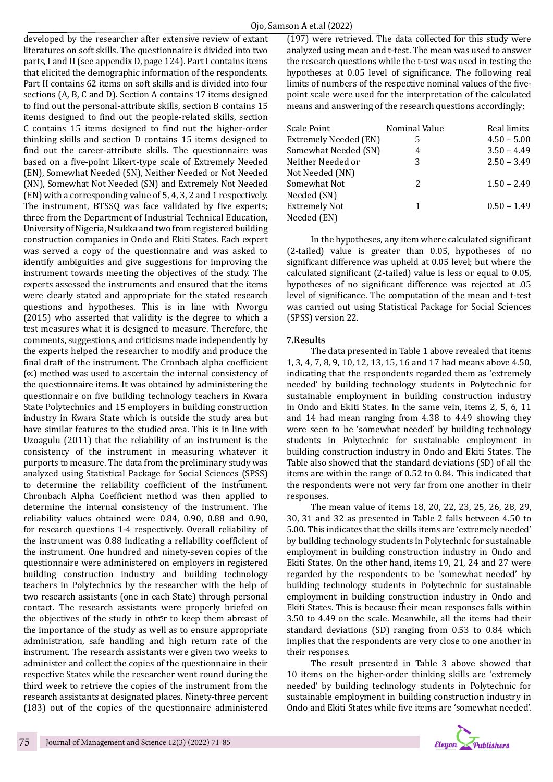developed by the researcher after extensive review of extant literatures on soft skills. The questionnaire is divided into two parts, I and II (see appendix D, page 124). Part I contains items that elicited the demographic information of the respondents. Part II contains 62 items on soft skills and is divided into four sections (A, B, C and D). Section A contains 17 items designed to find out the personal-attribute skills, section B contains 15 items designed to find out the people-related skills, section C contains 15 items designed to find out the higher-order thinking skills and section D contains 15 items designed to find out the career-attribute skills. The questionnaire was based on a five-point Likert-type scale of Extremely Needed (EN), Somewhat Needed (SN), Neither Needed or Not Needed (NN), Somewhat Not Needed (SN) and Extremely Not Needed (EN) with a corresponding value of 5, 4, 3, 2 and 1 respectively. The instrument, BTSSQ was face validated by five experts; three from the Department of Industrial Technical Education, University of Nigeria, Nsukka and two from registered building construction companies in Ondo and Ekiti States. Each expert was served a copy of the questionnaire and was asked to identify ambiguities and give suggestions for improving the instrument towards meeting the objectives of the study. The experts assessed the instruments and ensured that the items were clearly stated and appropriate for the stated research questions and hypotheses. This is in line with Nworgu (2015) who asserted that validity is the degree to which a test measures what it is designed to measure. Therefore, the comments, suggestions, and criticisms made independently by the experts helped the researcher to modify and produce the final draft of the instrument. The Cronbach alpha coefficient (∝) method was used to ascertain the internal consistency of the questionnaire items. It was obtained by administering the questionnaire on five building technology teachers in Kwara State Polytechnics and 15 employers in building construction industry in Kwara State which is outside the study area but have similar features to the studied area. This is in line with Uzoagulu (2011) that the reliability of an instrument is the consistency of the instrument in measuring whatever it purports to measure. The data from the preliminary study was analyzed using Statistical Package for Social Sciences (SPSS) to determine the reliability coefficient of the instrument. Chronbach Alpha Coefficient method was then applied to determine the internal consistency of the instrument. The reliability values obtained were 0.84, 0.90, 0.88 and 0.90, for research questions 1-4 respectively. Overall reliability of the instrument was 0.88 indicating a reliability coefficient of the instrument. One hundred and ninety-seven copies of the questionnaire were administered on employers in registered building construction industry and building technology teachers in Polytechnics by the researcher with the help of two research assistants (one in each State) through personal contact. The research assistants were properly briefed on the objectives of the study in other to keep them abreast of the importance of the study as well as to ensure appropriate administration, safe handling and high return rate of the instrument. The research assistants were given two weeks to administer and collect the copies of the questionnaire in their respective States while the researcher went round during the third week to retrieve the copies of the instrument from the research assistants at designated places. Ninety-three percent (183) out of the copies of the questionnaire administered

(197) were retrieved. The data collected for this study were analyzed using mean and t-test. The mean was used to answer the research questions while the t-test was used in testing the hypotheses at 0.05 level of significance. The following real limits of numbers of the respective nominal values of the fivepoint scale were used for the interpretation of the calculated means and answering of the research questions accordingly;

| Scale Point                  | Nominal Value | Real limits   |
|------------------------------|---------------|---------------|
| <b>Extremely Needed (EN)</b> | 5             | $4.50 - 5.00$ |
| Somewhat Needed (SN)         | 4             | $3.50 - 4.49$ |
| Neither Needed or            | 3             | $2.50 - 3.49$ |
| Not Needed (NN)              |               |               |
| Somewhat Not                 | 2             | $1.50 - 2.49$ |
| Needed (SN)                  |               |               |
| <b>Extremely Not</b>         | 1             | $0.50 - 1.49$ |
| Needed (EN)                  |               |               |

In the hypotheses, any item where calculated significant (2-tailed) value is greater than 0.05, hypotheses of no significant difference was upheld at 0.05 level; but where the calculated significant (2-tailed) value is less or equal to 0.05, hypotheses of no significant difference was rejected at .05 level of significance. The computation of the mean and t-test was carried out using Statistical Package for Social Sciences (SPSS) version 22.

# **7.Results**

The data presented in Table 1 above revealed that items 1, 3, 4, 7, 8, 9, 10, 12, 13, 15, 16 and 17 had means above 4.50, indicating that the respondents regarded them as 'extremely needed' by building technology students in Polytechnic for sustainable employment in building construction industry in Ondo and Ekiti States. In the same vein, items 2, 5, 6, 11 and 14 had mean ranging from 4.38 to 4.49 showing they were seen to be 'somewhat needed' by building technology students in Polytechnic for sustainable employment in building construction industry in Ondo and Ekiti States. The Table also showed that the standard deviations (SD) of all the items are within the range of 0.52 to 0.84. This indicated that the respondents were not very far from one another in their responses.

The mean value of items 18, 20, 22, 23, 25, 26, 28, 29, 30, 31 and 32 as presented in Table 2 falls between 4.50 to 5.00. This indicates that the skills items are 'extremely needed' by building technology students in Polytechnic for sustainable employment in building construction industry in Ondo and Ekiti States. On the other hand, items 19, 21, 24 and 27 were regarded by the respondents to be 'somewhat needed' by building technology students in Polytechnic for sustainable employment in building construction industry in Ondo and Ekiti States. This is because their mean responses falls within 3.50 to 4.49 on the scale. Meanwhile, all the items had their standard deviations (SD) ranging from 0.53 to 0.84 which implies that the respondents are very close to one another in their responses.

The result presented in Table 3 above showed that 10 items on the higher-order thinking skills are 'extremely needed' by building technology students in Polytechnic for sustainable employment in building construction industry in Ondo and Ekiti States while five items are 'somewhat needed'.

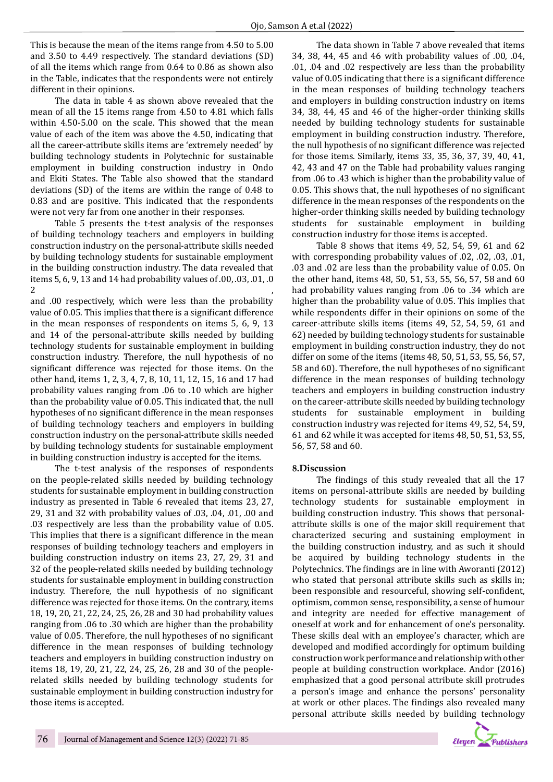This is because the mean of the items range from 4.50 to 5.00 and 3.50 to 4.49 respectively. The standard deviations (SD) of all the items which range from 0.64 to 0.86 as shown also in the Table, indicates that the respondents were not entirely different in their opinions.

The data in table 4 as shown above revealed that the mean of all the 15 items range from 4.50 to 4.81 which falls within 4.50-5.00 on the scale. This showed that the mean value of each of the item was above the 4.50, indicating that all the career-attribute skills items are 'extremely needed' by building technology students in Polytechnic for sustainable employment in building construction industry in Ondo and Ekiti States. The Table also showed that the standard deviations (SD) of the items are within the range of 0.48 to 0.83 and are positive. This indicated that the respondents were not very far from one another in their responses.

Table 5 presents the t-test analysis of the responses of building technology teachers and employers in building construction industry on the personal-attribute skills needed by building technology students for sustainable employment in the building construction industry. The data revealed that items 5, 6, 9, 13 and 14 had probability values of .00, .03, .01, .0  $2 \left( \frac{1}{2} \right)$ 

and .00 respectively, which were less than the probability value of 0.05. This implies that there is a significant difference in the mean responses of respondents on items 5, 6, 9, 13 and 14 of the personal-attribute skills needed by building technology students for sustainable employment in building construction industry. Therefore, the null hypothesis of no significant difference was rejected for those items. On the other hand, items 1, 2, 3, 4, 7, 8, 10, 11, 12, 15, 16 and 17 had probability values ranging from .06 to .10 which are higher than the probability value of 0.05. This indicated that, the null hypotheses of no significant difference in the mean responses of building technology teachers and employers in building construction industry on the personal-attribute skills needed by building technology students for sustainable employment in building construction industry is accepted for the items.

The t-test analysis of the responses of respondents on the people-related skills needed by building technology students for sustainable employment in building construction industry as presented in Table 6 revealed that items 23, 27, 29, 31 and 32 with probability values of .03, .04, .01, .00 and .03 respectively are less than the probability value of 0.05. This implies that there is a significant difference in the mean responses of building technology teachers and employers in building construction industry on items 23, 27, 29, 31 and 32 of the people-related skills needed by building technology students for sustainable employment in building construction industry. Therefore, the null hypothesis of no significant difference was rejected for those items. On the contrary, items 18, 19, 20, 21, 22, 24, 25, 26, 28 and 30 had probability values ranging from .06 to .30 which are higher than the probability value of 0.05. Therefore, the null hypotheses of no significant difference in the mean responses of building technology teachers and employers in building construction industry on items 18, 19, 20, 21, 22, 24, 25, 26, 28 and 30 of the peoplerelated skills needed by building technology students for sustainable employment in building construction industry for those items is accepted.

The data shown in Table 7 above revealed that items 34, 38, 44, 45 and 46 with probability values of .00, .04, .01, .04 and .02 respectively are less than the probability value of 0.05 indicating that there is a significant difference in the mean responses of building technology teachers and employers in building construction industry on items 34, 38, 44, 45 and 46 of the higher-order thinking skills needed by building technology students for sustainable employment in building construction industry. Therefore, the null hypothesis of no significant difference was rejected for those items. Similarly, items 33, 35, 36, 37, 39, 40, 41, 42, 43 and 47 on the Table had probability values ranging from .06 to .43 which is higher than the probability value of 0.05. This shows that, the null hypotheses of no significant difference in the mean responses of the respondents on the higher-order thinking skills needed by building technology students for sustainable employment in building construction industry for those items is accepted.

Table 8 shows that items 49, 52, 54, 59, 61 and 62 with corresponding probability values of .02, .02, .03, .01, .03 and .02 are less than the probability value of 0.05. On the other hand, items 48, 50, 51, 53, 55, 56, 57, 58 and 60 had probability values ranging from .06 to .34 which are higher than the probability value of 0.05. This implies that while respondents differ in their opinions on some of the career-attribute skills items (items 49, 52, 54, 59, 61 and 62) needed by building technology students for sustainable employment in building construction industry, they do not differ on some of the items (items 48, 50, 51, 53, 55, 56, 57, 58 and 60). Therefore, the null hypotheses of no significant difference in the mean responses of building technology teachers and employers in building construction industry on the career-attribute skills needed by building technology students for sustainable employment in building construction industry was rejected for items 49, 52, 54, 59, 61 and 62 while it was accepted for items 48, 50, 51, 53, 55, 56, 57, 58 and 60.

#### **8.Discussion**

The findings of this study revealed that all the 17 items on personal-attribute skills are needed by building technology students for sustainable employment in building construction industry. This shows that personalattribute skills is one of the major skill requirement that characterized securing and sustaining employment in the building construction industry, and as such it should be acquired by building technology students in the Polytechnics. The findings are in line with Aworanti (2012) who stated that personal attribute skills such as skills in; been responsible and resourceful, showing self-confident, optimism, common sense, responsibility, a sense of humour and integrity are needed for effective management of oneself at work and for enhancement of one's personality. These skills deal with an employee's character, which are developed and modified accordingly for optimum building construction work performance and relationship with other people at building construction workplace. Andor (2016) emphasized that a good personal attribute skill protrudes a person's image and enhance the persons' personality at work or other places. The findings also revealed many personal attribute skills needed by building technology

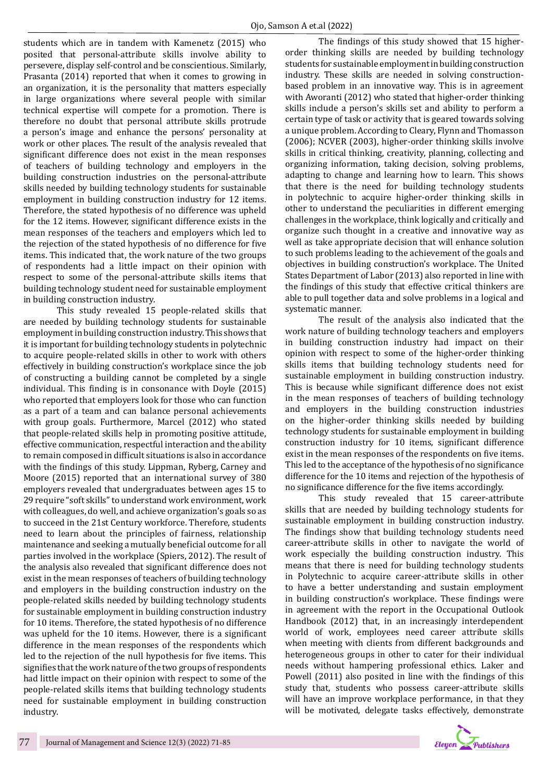students which are in tandem with Kamenetz (2015) who posited that personal-attribute skills involve ability to persevere, display self-control and be conscientious. Similarly, Prasanta (2014) reported that when it comes to growing in an organization, it is the personality that matters especially in large organizations where several people with similar technical expertise will compete for a promotion. There is therefore no doubt that personal attribute skills protrude a person's image and enhance the persons' personality at work or other places. The result of the analysis revealed that significant difference does not exist in the mean responses of teachers of building technology and employers in the building construction industries on the personal-attribute skills needed by building technology students for sustainable employment in building construction industry for 12 items. Therefore, the stated hypothesis of no difference was upheld for the 12 items. However, significant difference exists in the mean responses of the teachers and employers which led to the rejection of the stated hypothesis of no difference for five items. This indicated that, the work nature of the two groups of respondents had a little impact on their opinion with respect to some of the personal-attribute skills items that building technology student need for sustainable employment in building construction industry.

This study revealed 15 people-related skills that are needed by building technology students for sustainable employment in building construction industry. This shows that it is important for building technology students in polytechnic to acquire people-related skills in other to work with others effectively in building construction's workplace since the job of constructing a building cannot be completed by a single individual. This finding is in consonance with Doyle (2015) who reported that employers look for those who can function as a part of a team and can balance personal achievements with group goals. Furthermore, Marcel (2012) who stated that people-related skills help in promoting positive attitude, effective communication, respectful interaction and the ability to remain composed in difficult situations is also in accordance with the findings of this study. Lippman, Ryberg, Carney and Moore (2015) reported that an international survey of 380 employers revealed that undergraduates between ages 15 to 29 require "soft skills" to understand work environment, work with colleagues, do well, and achieve organization's goals so as to succeed in the 21st Century workforce. Therefore, students need to learn about the principles of fairness, relationship maintenance and seeking a mutually beneficial outcome for all parties involved in the workplace (Spiers, 2012). The result of the analysis also revealed that significant difference does not exist in the mean responses of teachers of building technology and employers in the building construction industry on the people-related skills needed by building technology students for sustainable employment in building construction industry for 10 items. Therefore, the stated hypothesis of no difference was upheld for the 10 items. However, there is a significant difference in the mean responses of the respondents which led to the rejection of the null hypothesis for five items. This signifies that the work nature of the two groups of respondents had little impact on their opinion with respect to some of the people-related skills items that building technology students need for sustainable employment in building construction industry.

The findings of this study showed that 15 higherorder thinking skills are needed by building technology students for sustainable employment in building construction industry. These skills are needed in solving constructionbased problem in an innovative way. This is in agreement with Aworanti (2012) who stated that higher-order thinking skills include a person's skills set and ability to perform a certain type of task or activity that is geared towards solving a unique problem. According to Cleary, Flynn and Thomasson (2006); NCVER (2003), higher-order thinking skills involve skills in critical thinking, creativity, planning, collecting and organizing information, taking decision, solving problems, adapting to change and learning how to learn. This shows that there is the need for building technology students in polytechnic to acquire higher-order thinking skills in other to understand the peculiarities in different emerging challenges in the workplace, think logically and critically and organize such thought in a creative and innovative way as well as take appropriate decision that will enhance solution to such problems leading to the achievement of the goals and objectives in building construction's workplace. The United States Department of Labor (2013) also reported in line with the findings of this study that effective critical thinkers are able to pull together data and solve problems in a logical and systematic manner.

The result of the analysis also indicated that the work nature of building technology teachers and employers in building construction industry had impact on their opinion with respect to some of the higher-order thinking skills items that building technology students need for sustainable employment in building construction industry. This is because while significant difference does not exist in the mean responses of teachers of building technology and employers in the building construction industries on the higher-order thinking skills needed by building technology students for sustainable employment in building construction industry for 10 items, significant difference exist in the mean responses of the respondents on five items. This led to the acceptance of the hypothesis of no significance difference for the 10 items and rejection of the hypothesis of no significance difference for the five items accordingly.

This study revealed that 15 career-attribute skills that are needed by building technology students for sustainable employment in building construction industry. The findings show that building technology students need career-attribute skills in other to navigate the world of work especially the building construction industry. This means that there is need for building technology students in Polytechnic to acquire career-attribute skills in other to have a better understanding and sustain employment in building construction's workplace. These findings were in agreement with the report in the Occupational Outlook Handbook (2012) that, in an increasingly interdependent world of work, employees need career attribute skills when meeting with clients from different backgrounds and heterogeneous groups in other to cater for their individual needs without hampering professional ethics. Laker and Powell (2011) also posited in line with the findings of this study that, students who possess career-attribute skills will have an improve workplace performance, in that they will be motivated, delegate tasks effectively, demonstrate

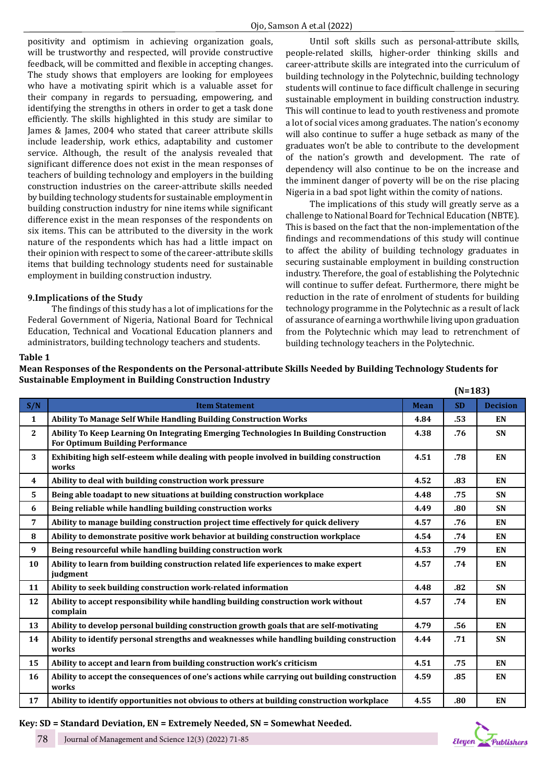positivity and optimism in achieving organization goals, will be trustworthy and respected, will provide constructive feedback, will be committed and flexible in accepting changes. The study shows that employers are looking for employees who have a motivating spirit which is a valuable asset for their company in regards to persuading, empowering, and identifying the strengths in others in order to get a task done efficiently. The skills highlighted in this study are similar to James & James, 2004 who stated that career attribute skills include leadership, work ethics, adaptability and customer service. Although, the result of the analysis revealed that significant difference does not exist in the mean responses of teachers of building technology and employers in the building construction industries on the career-attribute skills needed by building technology students for sustainable employment in building construction industry for nine items while significant difference exist in the mean responses of the respondents on six items. This can be attributed to the diversity in the work nature of the respondents which has had a little impact on their opinion with respect to some of the career-attribute skills items that building technology students need for sustainable employment in building construction industry.

# **9.Implications of the Study**

The findings of this study has a lot of implications for the Federal Government of Nigeria, National Board for Technical Education, Technical and Vocational Education planners and administrators, building technology teachers and students.

Until soft skills such as personal-attribute skills, people-related skills, higher-order thinking skills and career-attribute skills are integrated into the curriculum of building technology in the Polytechnic, building technology students will continue to face difficult challenge in securing sustainable employment in building construction industry. This will continue to lead to youth restiveness and promote a lot of social vices among graduates. The nation's economy will also continue to suffer a huge setback as many of the graduates won't be able to contribute to the development of the nation's growth and development. The rate of dependency will also continue to be on the increase and the imminent danger of poverty will be on the rise placing Nigeria in a bad spot light within the comity of nations.

The implications of this study will greatly serve as a challenge to National Board for Technical Education (NBTE). This is based on the fact that the non-implementation of the findings and recommendations of this study will continue to affect the ability of building technology graduates in securing sustainable employment in building construction industry. Therefore, the goal of establishing the Polytechnic will continue to suffer defeat. Furthermore, there might be reduction in the rate of enrolment of students for building technology programme in the Polytechnic as a result of lack of assurance of earning a worthwhile living upon graduation from the Polytechnic which may lead to retrenchment of building technology teachers in the Polytechnic.

#### **Table 1**

**Mean Responses of the Respondents on the Personal-attribute Skills Needed by Building Technology Students for Sustainable Employment in Building Construction Industry** 

|                         |                                                                                                                                   |             | $(N=183)$ |                 |
|-------------------------|-----------------------------------------------------------------------------------------------------------------------------------|-------------|-----------|-----------------|
| S/N                     | <b>Item Statement</b>                                                                                                             | <b>Mean</b> | <b>SD</b> | <b>Decision</b> |
| 1                       | <b>Ability To Manage Self While Handling Building Construction Works</b>                                                          | 4.84        | .53       | EN              |
| $\mathbf{2}$            | Ability To Keep Learning On Integrating Emerging Technologies In Building Construction<br><b>For Optimum Building Performance</b> | 4.38        | .76       | SN              |
| 3                       | Exhibiting high self-esteem while dealing with people involved in building construction<br>works                                  | 4.51        | .78       | EN              |
| $\overline{\mathbf{4}}$ | Ability to deal with building construction work pressure                                                                          | 4.52        | .83       | EN              |
| 5                       | Being able toadapt to new situations at building construction workplace                                                           | 4.48        | .75       | <b>SN</b>       |
| 6                       | Being reliable while handling building construction works                                                                         | 4.49        | .80       | <b>SN</b>       |
| 7                       | Ability to manage building construction project time effectively for quick delivery                                               | 4.57        | .76       | EN              |
| 8                       | Ability to demonstrate positive work behavior at building construction workplace                                                  | 4.54        | .74       | EN              |
| 9                       | Being resourceful while handling building construction work                                                                       | 4.53        | .79       | EN              |
| 10                      | Ability to learn from building construction related life experiences to make expert<br>judgment                                   | 4.57        | .74       | EN              |
| 11                      | Ability to seek building construction work-related information                                                                    | 4.48        | .82       | SN              |
| 12                      | Ability to accept responsibility while handling building construction work without<br>complain                                    | 4.57        | .74       | EN              |
| 13                      | Ability to develop personal building construction growth goals that are self-motivating                                           | 4.79        | .56       | EN              |
| 14                      | Ability to identify personal strengths and weaknesses while handling building construction<br>works                               | 4.44        | .71       | <b>SN</b>       |
| 15                      | Ability to accept and learn from building construction work's criticism                                                           | 4.51        | .75       | EN              |
| 16                      | Ability to accept the consequences of one's actions while carrying out building construction<br>works                             | 4.59        | .85       | EN              |
| 17                      | Ability to identify opportunities not obvious to others at building construction workplace                                        | 4.55        | .80       | EN              |

#### **Key: SD = Standard Deviation, EN = Extremely Needed, SN = Somewhat Needed.**

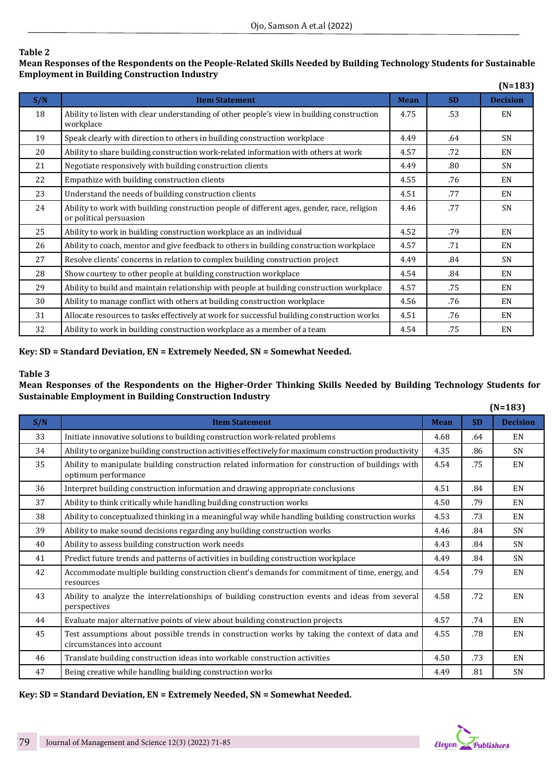**Mean Responses of the Respondents on the People-Related Skills Needed by Building Technology Students for Sustainable Employment in Building Construction Industry** 

|     |                                                                                                                        |             |           | $(N=183)$       |
|-----|------------------------------------------------------------------------------------------------------------------------|-------------|-----------|-----------------|
| S/N | <b>Item Statement</b>                                                                                                  | <b>Mean</b> | <b>SD</b> | <b>Decision</b> |
| 18  | Ability to listen with clear understanding of other people's view in building construction<br>workplace                | 4.75        | .53       | EN              |
| 19  | Speak clearly with direction to others in building construction workplace                                              | 4.49        | .64       | <b>SN</b>       |
| 20  | Ability to share building construction work-related information with others at work                                    | 4.57        | .72       | EN              |
| 21  | Negotiate responsively with building construction clients                                                              | 4.49        | .80       | <b>SN</b>       |
| 22  | Empathize with building construction clients                                                                           | 4.55        | .76       | EN              |
| 23  | Understand the needs of building construction clients                                                                  | 4.51        | .77       | EN              |
| 24  | Ability to work with building construction people of different ages, gender, race, religion<br>or political persuasion | 4.46        | .77       | <b>SN</b>       |
| 25  | Ability to work in building construction workplace as an individual                                                    | 4.52        | .79       | EN              |
| 26  | Ability to coach, mentor and give feedback to others in building construction workplace                                | 4.57        | .71       | EN              |
| 27  | Resolve clients' concerns in relation to complex building construction project                                         | 4.49        | .84       | <b>SN</b>       |
| 28  | Show courtesy to other people at building construction workplace                                                       | 4.54        | .84       | EN              |
| 29  | Ability to build and maintain relationship with people at building construction workplace                              | 4.57        | .75       | EN              |
| 30  | Ability to manage conflict with others at building construction workplace                                              | 4.56        | .76       | EN              |
| 31  | Allocate resources to tasks effectively at work for successful building construction works                             | 4.51        | .76       | EN              |
| 32  | Ability to work in building construction workplace as a member of a team                                               | 4.54        | .75       | EN              |

# **Key: SD = Standard Deviation, EN = Extremely Needed, SN = Somewhat Needed.**

# **Table 3**

**Mean Responses of the Respondents on the Higher-Order Thinking Skills Needed by Building Technology Students for Sustainable Employment in Building Construction Industry** 

|     |                                                                                                                              |             |           | $(N=183)$       |
|-----|------------------------------------------------------------------------------------------------------------------------------|-------------|-----------|-----------------|
| S/N | <b>Item Statement</b>                                                                                                        | <b>Mean</b> | <b>SD</b> | <b>Decision</b> |
| 33  | Initiate innovative solutions to building construction work-related problems                                                 | 4.68        | .64       | EN              |
| 34  | Ability to organize building construction activities effectively for maximum construction productivity                       | 4.35        | .86       | <b>SN</b>       |
| 35  | Ability to manipulate building construction related information for construction of buildings with<br>optimum performance    | 4.54        | .75       | EN              |
| 36  | Interpret building construction information and drawing appropriate conclusions                                              | 4.51        | .84       | EN              |
| 37  | Ability to think critically while handling building construction works                                                       | 4.50        | .79       | EN              |
| 38  | Ability to conceptualized thinking in a meaningful way while handling building construction works                            | 4.53        | .73       | EN              |
| 39  | Ability to make sound decisions regarding any building construction works                                                    | 4.46        | .84       | <b>SN</b>       |
| 40  | Ability to assess building construction work needs                                                                           | 4.43        | .84       | SN              |
| 41  | Predict future trends and patterns of activities in building construction workplace                                          | 4.49        | .84       | SN              |
| 42  | Accommodate multiple building construction client's demands for commitment of time, energy, and<br>resources                 | 4.54        | .79       | EN              |
| 43  | Ability to analyze the interrelationships of building construction events and ideas from several<br>perspectives             | 4.58        | .72       | EN              |
| 44  | Evaluate major alternative points of view about building construction projects                                               | 4.57        | .74       | EN              |
| 45  | Test assumptions about possible trends in construction works by taking the context of data and<br>circumstances into account | 4.55        | .78       | EN              |
| 46  | Translate building construction ideas into workable construction activities                                                  | 4.50        | .73       | EN              |
| 47  | Being creative while handling building construction works                                                                    | 4.49        | .81       | SN              |

**Key: SD = Standard Deviation, EN = Extremely Needed, SN = Somewhat Needed.**

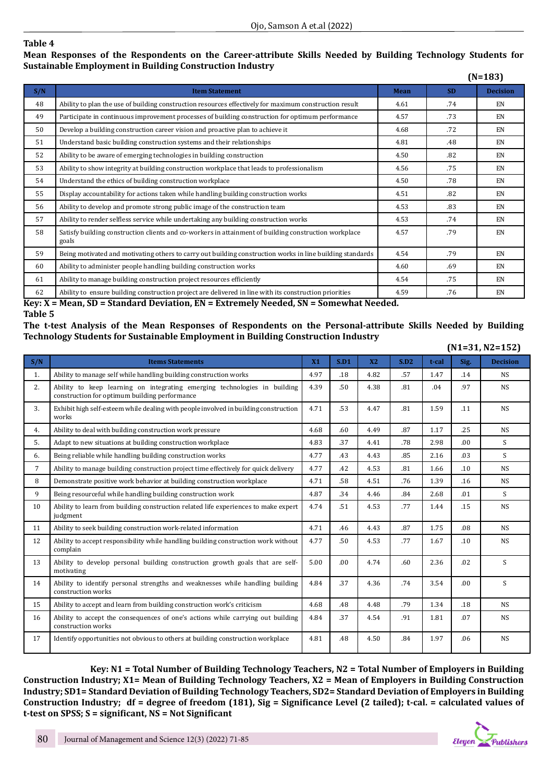**Mean Responses of the Respondents on the Career-attribute Skills Needed by Building Technology Students for Sustainable Employment in Building Construction Industry** 

|     |                                                                                                                |             |           | $(N=183)$       |
|-----|----------------------------------------------------------------------------------------------------------------|-------------|-----------|-----------------|
| S/N | <b>Item Statement</b>                                                                                          | <b>Mean</b> | <b>SD</b> | <b>Decision</b> |
| 48  | Ability to plan the use of building construction resources effectively for maximum construction result         | 4.61        | .74       | EN              |
| 49  | Participate in continuous improvement processes of building construction for optimum performance               | 4.57        | .73       | EN              |
| 50  | Develop a building construction career vision and proactive plan to achieve it                                 | 4.68        | .72       | EN              |
| 51  | Understand basic building construction systems and their relationships                                         | 4.81        | .48       | EN              |
| 52  | Ability to be aware of emerging technologies in building construction                                          | 4.50        | .82       | EN              |
| 53  | Ability to show integrity at building construction workplace that leads to professionalism                     | 4.56        | .75       | EN              |
| 54  | Understand the ethics of building construction workplace                                                       | 4.50        | .78       | EN              |
| 55  | Display accountability for actions taken while handling building construction works                            | 4.51        | .82       | EN              |
| 56  | Ability to develop and promote strong public image of the construction team                                    | 4.53        | .83       | EN              |
| 57  | Ability to render selfless service while undertaking any building construction works                           | 4.53        | .74       | EN              |
| 58  | Satisfy building construction clients and co-workers in attainment of building construction workplace<br>goals | 4.57        | .79       | EN              |
| 59  | Being motivated and motivating others to carry out building construction works in line building standards      | 4.54        | .79       | EN              |
| 60  | Ability to administer people handling building construction works                                              | 4.60        | .69       | EN              |
| 61  | Ability to manage building construction project resources efficiently                                          | 4.54        | .75       | EN              |
| 62  | Ability to ensure building construction project are delivered in line with its construction priorities         | 4.59        | .76       | EN              |

**Key: X = Mean, SD = Standard Deviation, EN = Extremely Needed, SN = Somewhat Needed.**

**Table 5**

**The t-test Analysis of the Mean Responses of Respondents on the Personal-attribute Skills Needed by Building Technology Students for Sustainable Employment in Building Construction Industry** 

|     | $(N1=31, N2=152)$                                                                                                          |      |      |           |      |       |      |                 |
|-----|----------------------------------------------------------------------------------------------------------------------------|------|------|-----------|------|-------|------|-----------------|
| S/N | <b>Items Statements</b>                                                                                                    | X1   | S.D1 | <b>X2</b> | S.D2 | t-cal | Sig. | <b>Decision</b> |
| 1.  | Ability to manage self while handling building construction works                                                          | 4.97 | .18  | 4.82      | .57  | 1.47  | .14  | <b>NS</b>       |
| 2.  | Ability to keep learning on integrating emerging technologies in building<br>construction for optimum building performance | 4.39 | .50  | 4.38      | .81  | .04   | .97  | <b>NS</b>       |
| 3.  | Exhibit high self-esteem while dealing with people involved in building construction<br>works                              | 4.71 | .53  | 4.47      | .81  | 1.59  | .11  | <b>NS</b>       |
| 4.  | Ability to deal with building construction work pressure                                                                   | 4.68 | .60  | 4.49      | .87  | 1.17  | .25  | <b>NS</b>       |
| 5.  | Adapt to new situations at building construction workplace                                                                 | 4.83 | .37  | 4.41      | .78  | 2.98  | .00. | S.              |
| 6.  | Being reliable while handling building construction works                                                                  | 4.77 | .43  | 4.43      | .85  | 2.16  | .03  | S               |
| 7   | Ability to manage building construction project time effectively for quick delivery                                        | 4.77 | .42  | 4.53      | .81  | 1.66  | .10  | <b>NS</b>       |
| 8   | Demonstrate positive work behavior at building construction workplace                                                      | 4.71 | .58  | 4.51      | .76  | 1.39  | .16  | <b>NS</b>       |
| 9   | Being resourceful while handling building construction work                                                                | 4.87 | .34  | 4.46      | .84  | 2.68  | .01  | S               |
| 10  | Ability to learn from building construction related life experiences to make expert<br>judgment                            | 4.74 | .51  | 4.53      | .77  | 1.44  | .15  | <b>NS</b>       |
| 11  | Ability to seek building construction work-related information                                                             | 4.71 | .46  | 4.43      | .87  | 1.75  | .08  | <b>NS</b>       |
| 12  | Ability to accept responsibility while handling building construction work without<br>complain                             | 4.77 | .50  | 4.53      | .77  | 1.67  | .10  | <b>NS</b>       |
| 13  | Ability to develop personal building construction growth goals that are self-<br>motivating                                | 5.00 | .00. | 4.74      | .60  | 2.36  | .02  | S               |
| 14  | Ability to identify personal strengths and weaknesses while handling building<br>construction works                        | 4.84 | .37  | 4.36      | .74  | 3.54  | .00. | S               |
| 15  | Ability to accept and learn from building construction work's criticism                                                    | 4.68 | .48  | 4.48      | .79  | 1.34  | .18  | <b>NS</b>       |
| 16  | Ability to accept the consequences of one's actions while carrying out building<br>construction works                      | 4.84 | .37  | 4.54      | .91  | 1.81  | .07  | <b>NS</b>       |
| 17  | Identify opportunities not obvious to others at building construction workplace                                            | 4.81 | .48  | 4.50      | .84  | 1.97  | .06  | <b>NS</b>       |

 **Key: N1 = Total Number of Building Technology Teachers, N2 = Total Number of Employers in Building Construction Industry; X1= Mean of Building Technology Teachers, X2 = Mean of Employers in Building Construction Industry; SD1= Standard Deviation of Building Technology Teachers, SD2= Standard Deviation of Employers in Building Construction Industry; df = degree of freedom (181), Sig = Significance Level (2 tailed); t-cal. = calculated values of t-test on SPSS; S = significant, NS = Not Significant**

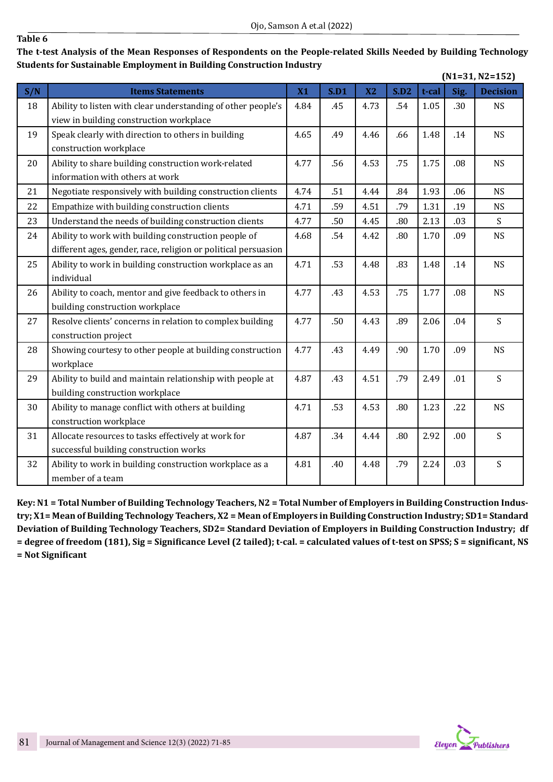|     |                                                                |           |      |           |      |       |      | $(N1=31, N2=152)$ |
|-----|----------------------------------------------------------------|-----------|------|-----------|------|-------|------|-------------------|
| S/N | <b>Items Statements</b>                                        | <b>X1</b> | S.D1 | <b>X2</b> | S.D2 | t-cal | Sig. | <b>Decision</b>   |
| 18  | Ability to listen with clear understanding of other people's   | 4.84      | .45  | 4.73      | .54  | 1.05  | .30  | <b>NS</b>         |
|     | view in building construction workplace                        |           |      |           |      |       |      |                   |
| 19  | Speak clearly with direction to others in building             | 4.65      | .49  | 4.46      | .66  | 1.48  | .14  | <b>NS</b>         |
|     | construction workplace                                         |           |      |           |      |       |      |                   |
| 20  | Ability to share building construction work-related            | 4.77      | .56  | 4.53      | .75  | 1.75  | .08  | <b>NS</b>         |
|     | information with others at work                                |           |      |           |      |       |      |                   |
| 21  | Negotiate responsively with building construction clients      | 4.74      | .51  | 4.44      | .84  | 1.93  | .06  | <b>NS</b>         |
| 22  | Empathize with building construction clients                   | 4.71      | .59  | 4.51      | .79  | 1.31  | .19  | <b>NS</b>         |
| 23  | Understand the needs of building construction clients          | 4.77      | .50  | 4.45      | .80  | 2.13  | .03  | S                 |
| 24  | Ability to work with building construction people of           | 4.68      | .54  | 4.42      | .80  | 1.70  | .09  | <b>NS</b>         |
|     | different ages, gender, race, religion or political persuasion |           |      |           |      |       |      |                   |
| 25  | Ability to work in building construction workplace as an       | 4.71      | .53  | 4.48      | .83  | 1.48  | .14  | <b>NS</b>         |
|     | individual                                                     |           |      |           |      |       |      |                   |
| 26  | Ability to coach, mentor and give feedback to others in        | 4.77      | .43  | 4.53      | .75  | 1.77  | .08  | <b>NS</b>         |
|     | building construction workplace                                |           |      |           |      |       |      |                   |
| 27  | Resolve clients' concerns in relation to complex building      | 4.77      | .50  | 4.43      | .89  | 2.06  | .04  | $\mathsf{S}$      |
|     | construction project                                           |           |      |           |      |       |      |                   |
| 28  | Showing courtesy to other people at building construction      | 4.77      | .43  | 4.49      | .90  | 1.70  | .09  | <b>NS</b>         |
|     | workplace                                                      |           |      |           |      |       |      |                   |
| 29  | Ability to build and maintain relationship with people at      | 4.87      | .43  | 4.51      | .79  | 2.49  | .01  | $\mathsf{S}$      |
|     | building construction workplace                                |           |      |           |      |       |      |                   |
| 30  | Ability to manage conflict with others at building             | 4.71      | .53  | 4.53      | .80  | 1.23  | .22  | <b>NS</b>         |
|     | construction workplace                                         |           |      |           |      |       |      |                   |
| 31  | Allocate resources to tasks effectively at work for            | 4.87      | .34  | 4.44      | .80  | 2.92  | .00. | S                 |
|     | successful building construction works                         |           |      |           |      |       |      |                   |
| 32  | Ability to work in building construction workplace as a        | 4.81      | .40  | 4.48      | .79  | 2.24  | .03  | S                 |
|     | member of a team                                               |           |      |           |      |       |      |                   |

**The t-test Analysis of the Mean Responses of Respondents on the People-related Skills Needed by Building Technology Students for Sustainable Employment in Building Construction Industry** 

**Key: N1 = Total Number of Building Technology Teachers, N2 = Total Number of Employers in Building Construction Industry; X1= Mean of Building Technology Teachers, X2 = Mean of Employers in Building Construction Industry; SD1= Standard Deviation of Building Technology Teachers, SD2= Standard Deviation of Employers in Building Construction Industry; df = degree of freedom (181), Sig = Significance Level (2 tailed); t-cal. = calculated values of t-test on SPSS; S = significant, NS = Not Significant**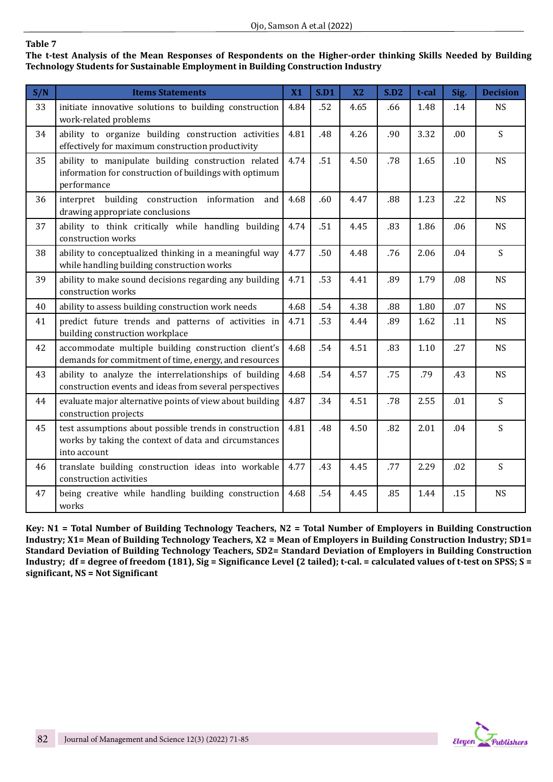**The t-test Analysis of the Mean Responses of Respondents on the Higher-order thinking Skills Needed by Building Technology Students for Sustainable Employment in Building Construction Industry** 

| S/N | <b>Items Statements</b>                                                                                                         | <b>X1</b> | S.D1 | <b>X2</b> | S.D2 | t-cal | Sig. | <b>Decision</b> |
|-----|---------------------------------------------------------------------------------------------------------------------------------|-----------|------|-----------|------|-------|------|-----------------|
| 33  | initiate innovative solutions to building construction<br>work-related problems                                                 | 4.84      | .52  | 4.65      | .66  | 1.48  | .14  | <b>NS</b>       |
| 34  | ability to organize building construction activities<br>effectively for maximum construction productivity                       | 4.81      | .48  | 4.26      | .90  | 3.32  | .00  | S               |
| 35  | ability to manipulate building construction related<br>information for construction of buildings with optimum<br>performance    | 4.74      | .51  | 4.50      | .78  | 1.65  | .10  | <b>NS</b>       |
| 36  | interpret building construction information and<br>drawing appropriate conclusions                                              | 4.68      | .60  | 4.47      | .88  | 1.23  | .22  | <b>NS</b>       |
| 37  | ability to think critically while handling building<br>construction works                                                       | 4.74      | .51  | 4.45      | .83  | 1.86  | .06  | <b>NS</b>       |
| 38  | ability to conceptualized thinking in a meaningful way<br>while handling building construction works                            | 4.77      | .50  | 4.48      | .76  | 2.06  | .04  | S               |
| 39  | ability to make sound decisions regarding any building<br>construction works                                                    | 4.71      | .53  | 4.41      | .89  | 1.79  | .08  | <b>NS</b>       |
| 40  | ability to assess building construction work needs                                                                              | 4.68      | .54  | 4.38      | .88  | 1.80  | .07  | <b>NS</b>       |
| 41  | predict future trends and patterns of activities in<br>building construction workplace                                          | 4.71      | .53  | 4.44      | .89  | 1.62  | .11  | <b>NS</b>       |
| 42  | accommodate multiple building construction client's<br>demands for commitment of time, energy, and resources                    | 4.68      | .54  | 4.51      | .83  | 1.10  | .27  | <b>NS</b>       |
| 43  | ability to analyze the interrelationships of building<br>construction events and ideas from several perspectives                | 4.68      | .54  | 4.57      | .75  | .79   | .43  | <b>NS</b>       |
| 44  | evaluate major alternative points of view about building<br>construction projects                                               | 4.87      | .34  | 4.51      | .78  | 2.55  | .01  | $\mathsf{S}$    |
| 45  | test assumptions about possible trends in construction<br>works by taking the context of data and circumstances<br>into account | 4.81      | .48  | 4.50      | .82  | 2.01  | .04  | $\mathsf{S}$    |
| 46  | translate building construction ideas into workable<br>construction activities                                                  | 4.77      | .43  | 4.45      | .77  | 2.29  | .02  | $\mathsf{S}$    |
| 47  | being creative while handling building construction<br>works                                                                    | 4.68      | .54  | 4.45      | .85  | 1.44  | .15  | <b>NS</b>       |

**Key: N1 = Total Number of Building Technology Teachers, N2 = Total Number of Employers in Building Construction Industry; X1= Mean of Building Technology Teachers, X2 = Mean of Employers in Building Construction Industry; SD1= Standard Deviation of Building Technology Teachers, SD2= Standard Deviation of Employers in Building Construction Industry; df = degree of freedom (181), Sig = Significance Level (2 tailed); t-cal. = calculated values of t-test on SPSS; S = significant, NS = Not Significant**

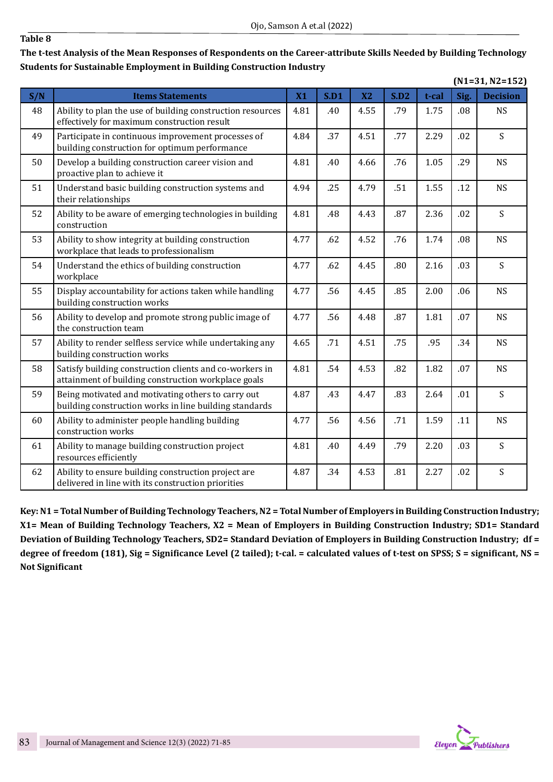| Table<br>я |  |
|------------|--|
|------------|--|

|     |                                                                                                                |           |      |      |      |       |      | $(N1=31, N2=152)$         |
|-----|----------------------------------------------------------------------------------------------------------------|-----------|------|------|------|-------|------|---------------------------|
| S/N | <b>Items Statements</b>                                                                                        | <b>X1</b> | S.D1 | X2   | S.D2 | t-cal | Sig. | <b>Decision</b>           |
| 48  | Ability to plan the use of building construction resources<br>effectively for maximum construction result      | 4.81      | .40  | 4.55 | .79  | 1.75  | .08  | <b>NS</b>                 |
| 49  | Participate in continuous improvement processes of<br>building construction for optimum performance            | 4.84      | .37  | 4.51 | .77  | 2.29  | .02  | $\mathsf{S}$              |
| 50  | Develop a building construction career vision and<br>proactive plan to achieve it                              | 4.81      | .40  | 4.66 | .76  | 1.05  | .29  | <b>NS</b>                 |
| 51  | Understand basic building construction systems and<br>their relationships                                      | 4.94      | .25  | 4.79 | .51  | 1.55  | .12  | <b>NS</b>                 |
| 52  | Ability to be aware of emerging technologies in building<br>construction                                       | 4.81      | .48  | 4.43 | .87  | 2.36  | .02  | S                         |
| 53  | Ability to show integrity at building construction<br>workplace that leads to professionalism                  | 4.77      | .62  | 4.52 | .76  | 1.74  | .08  | <b>NS</b>                 |
| 54  | Understand the ethics of building construction<br>workplace                                                    | 4.77      | .62  | 4.45 | .80  | 2.16  | .03  | S                         |
| 55  | Display accountability for actions taken while handling<br>building construction works                         | 4.77      | .56  | 4.45 | .85  | 2.00  | .06  | <b>NS</b>                 |
| 56  | Ability to develop and promote strong public image of<br>the construction team                                 | 4.77      | .56  | 4.48 | .87  | 1.81  | .07  | <b>NS</b>                 |
| 57  | Ability to render selfless service while undertaking any<br>building construction works                        | 4.65      | .71  | 4.51 | .75  | .95   | .34  | <b>NS</b>                 |
| 58  | Satisfy building construction clients and co-workers in<br>attainment of building construction workplace goals | 4.81      | .54  | 4.53 | .82  | 1.82  | .07  | <b>NS</b>                 |
| 59  | Being motivated and motivating others to carry out<br>building construction works in line building standards   | 4.87      | .43  | 4.47 | .83  | 2.64  | .01  | $\mathsf{S}$              |
| 60  | Ability to administer people handling building<br>construction works                                           | 4.77      | .56  | 4.56 | .71  | 1.59  | .11  | <b>NS</b>                 |
| 61  | Ability to manage building construction project<br>resources efficiently                                       | 4.81      | .40  | 4.49 | .79  | 2.20  | .03  | $\mathsf{S}$              |
| 62  | Ability to ensure building construction project are<br>delivered in line with its construction priorities      | 4.87      | .34  | 4.53 | .81  | 2.27  | .02  | $\boldsymbol{\mathsf{S}}$ |

**The t-test Analysis of the Mean Responses of Respondents on the Career-attribute Skills Needed by Building Technology Students for Sustainable Employment in Building Construction Industry** 

**Key: N1 = Total Number of Building Technology Teachers, N2 = Total Number of Employers in Building Construction Industry; X1= Mean of Building Technology Teachers, X2 = Mean of Employers in Building Construction Industry; SD1= Standard Deviation of Building Technology Teachers, SD2= Standard Deviation of Employers in Building Construction Industry; df = degree of freedom (181), Sig = Significance Level (2 tailed); t-cal. = calculated values of t-test on SPSS; S = significant, NS = Not Significant**

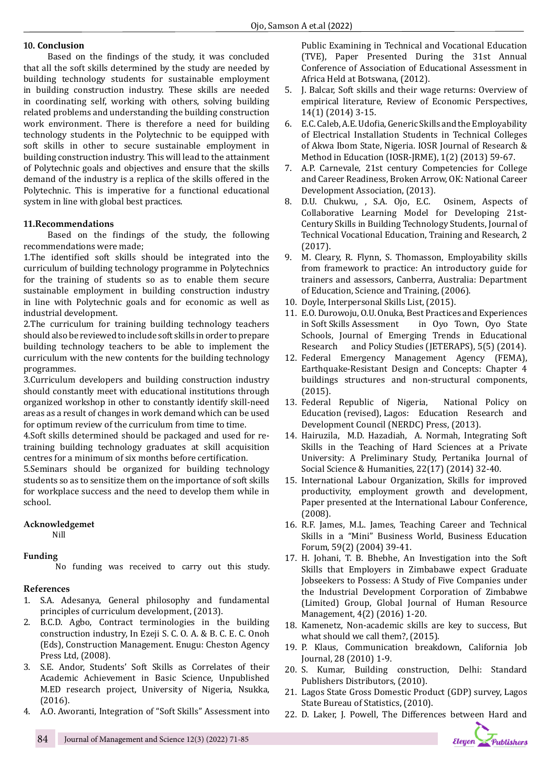## **10. Conclusion**

Based on the findings of the study, it was concluded that all the soft skills determined by the study are needed by building technology students for sustainable employment in building construction industry. These skills are needed in coordinating self, working with others, solving building related problems and understanding the building construction work environment. There is therefore a need for building technology students in the Polytechnic to be equipped with soft skills in other to secure sustainable employment in building construction industry. This will lead to the attainment of Polytechnic goals and objectives and ensure that the skills demand of the industry is a replica of the skills offered in the Polytechnic. This is imperative for a functional educational system in line with global best practices.

# **11.Recommendations**

Based on the findings of the study, the following recommendations were made;

1.The identified soft skills should be integrated into the curriculum of building technology programme in Polytechnics for the training of students so as to enable them secure sustainable employment in building construction industry in line with Polytechnic goals and for economic as well as industrial development.

2.The curriculum for training building technology teachers should also be reviewed to include soft skills in order to prepare building technology teachers to be able to implement the curriculum with the new contents for the building technology programmes.

3.Curriculum developers and building construction industry should constantly meet with educational institutions through organized workshop in other to constantly identify skill-need areas as a result of changes in work demand which can be used for optimum review of the curriculum from time to time.

4.Soft skills determined should be packaged and used for retraining building technology graduates at skill acquisition centres for a minimum of six months before certification.

5.Seminars should be organized for building technology students so as to sensitize them on the importance of soft skills for workplace success and the need to develop them while in school.

#### **Acknowledgemet**

Nill

# **Funding**

No funding was received to carry out this study.

# **References**

- 1. S.A. Adesanya, General philosophy and fundamental principles of curriculum development, (2013).
- 2. B.C.D. Agbo, Contract terminologies in the building construction industry, In Ezeji S. C. O. A. & B. C. E. C. Onoh (Eds), Construction Management. Enugu: Cheston Agency Press Ltd, (2008).
- 3. S.E. Andor, Students' Soft Skills as Correlates of their Academic Achievement in Basic Science, Unpublished M.ED research project, University of Nigeria, Nsukka, (2016).
- 4. A.O. Aworanti, Integration of "Soft Skills" Assessment into

Public Examining in Technical and Vocational Education (TVE), Paper Presented During the 31st Annual Conference of Association of Educational Assessment in Africa Held at Botswana, (2012).

- 5. J. Balcar, Soft skills and their wage returns: Overview of empirical literature, Review of Economic Perspectives, 14(1) (2014) 3-15.
- 6. E.C. Caleb, A.E. Udofia, Generic Skills and the Employability of Electrical Installation Students in Technical Colleges of Akwa Ibom State, Nigeria. IOSR Journal of Research & Method in Education (IOSR-JRME), 1(2) (2013) 59-67.
- 7. A.P. Carnevale, 21st century Competencies for College and Career Readiness, Broken Arrow, OK: National Career Development Association, (2013).
- 8. D.U. Chukwu, , S.A. Ojo, E.C. Osinem, Aspects of Collaborative Learning Model for Developing 21st-Century Skills in Building Technology Students, Journal of Technical Vocational Education, Training and Research, 2 (2017).
- 9. M. Cleary, R. Flynn, S. Thomasson, Employability skills from framework to practice: An introductory guide for trainers and assessors, Canberra, Australia: Department of Education, Science and Training, (2006).
- 10. Doyle, Interpersonal Skills List, (2015).
- 11. E.O. Durowoju, O.U. Onuka, Best Practices and Experiences in Oyo Town, Oyo State Schools, Journal of Emerging Trends in Educational<br>Research and Policy Studies (IETERAPS) 5(5) (2014). and Policy Studies (JETERAPS), 5(5) (2014).
- 12. Federal Emergency Management Agency (FEMA), Earthquake-Resistant Design and Concepts: Chapter 4 buildings structures and non-structural components, (2015).
- 13. Federal Republic of Nigeria, National Policy on Education (revised), Lagos: Education Research and Development Council (NERDC) Press, (2013).
- 14. Hairuzila, M.D. Hazadiah, A. Normah, Integrating Soft Skills in the Teaching of Hard Sciences at a Private University: A Preliminary Study, Pertanika Journal of Social Science & Humanities, 22(17) (2014) 32-40.
- 15. International Labour Organization, Skills for improved productivity, employment growth and development, Paper presented at the International Labour Conference, (2008).
- 16. R.F. James, M.L. James, Teaching Career and Technical Skills in a "Mini" Business World, Business Education Forum, 59(2) (2004) 39-41.
- 17. H. Johani, T. B. Bhebhe, An Investigation into the Soft Skills that Employers in Zimbabawe expect Graduate Jobseekers to Possess: A Study of Five Companies under the Industrial Development Corporation of Zimbabwe (Limited) Group, Global Journal of Human Resource Management, 4(2) (2016) 1-20.
- 18. Kamenetz, Non-academic skills are key to success, But what should we call them?, (2015).
- 19. P. Klaus, Communication breakdown, California Job Journal, 28 (2010) 1-9.
- 20. S. Kumar, Building construction, Delhi: Standard Publishers Distributors, (2010).
- 21. Lagos State Gross Domestic Product (GDP) survey, Lagos State Bureau of Statistics, (2010).
- 22. D. Laker, J. Powell, The Differences between Hard and